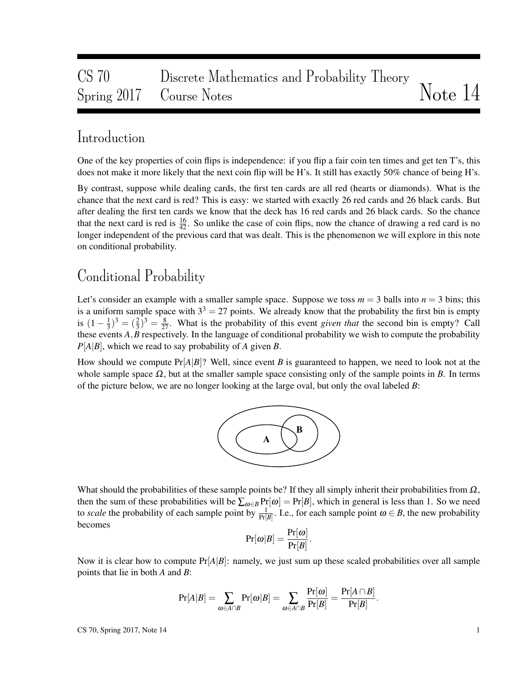# CS 70 Discrete Mathematics and Probability Theory Spring 2017 Course Notes Notes Note 14

# Introduction

One of the key properties of coin flips is independence: if you flip a fair coin ten times and get ten T's, this does not make it more likely that the next coin flip will be H's. It still has exactly 50% chance of being H's.

By contrast, suppose while dealing cards, the first ten cards are all red (hearts or diamonds). What is the chance that the next card is red? This is easy: we started with exactly 26 red cards and 26 black cards. But after dealing the first ten cards we know that the deck has 16 red cards and 26 black cards. So the chance that the next card is red is  $\frac{16}{42}$ . So unlike the case of coin flips, now the chance of drawing a red card is no longer independent of the previous card that was dealt. This is the phenomenon we will explore in this note on conditional probability.

# Conditional Probability

Let's consider an example with a smaller sample space. Suppose we toss  $m = 3$  balls into  $n = 3$  bins; this is a uniform sample space with  $3<sup>3</sup> = 27$  points. We already know that the probability the first bin is empty is  $(1 - \frac{1}{3})$  $\frac{1}{3}$ )<sup>3</sup> =  $(\frac{2}{3})^3 = \frac{8}{27}$ . What is the probability of this event *given that* the second bin is empty? Call these events *A*,*B* respectively. In the language of conditional probability we wish to compute the probability *P*[*A*|*B*], which we read to say probability of *A* given *B*.

How should we compute Pr[*A*|*B*]? Well, since event *B* is guaranteed to happen, we need to look not at the whole sample space  $\Omega$ , but at the smaller sample space consisting only of the sample points in *B*. In terms of the picture below, we are no longer looking at the large oval, but only the oval labeled *B*:



What should the probabilities of these sample points be? If they all simply inherit their probabilities from  $\Omega$ , then the sum of these probabilities will be  $\sum_{\omega \in B} Pr[\omega] = Pr[B]$ , which in general is less than 1. So we need to *scale* the probability of each sample point by  $\frac{1}{Pr[B]}$ . I.e., for each sample point  $\omega \in B$ , the new probability becomes

$$
\Pr[\pmb{\omega}|B] = \frac{\Pr[\pmb{\omega}]}{\Pr[B]}.
$$

Now it is clear how to compute  $Pr[A|B]$ : namely, we just sum up these scaled probabilities over all sample points that lie in both *A* and *B*:

$$
\Pr[A|B] = \sum_{\omega \in A \cap B} \Pr[\omega|B] = \sum_{\omega \in A \cap B} \frac{\Pr[\omega]}{\Pr[B]} = \frac{\Pr[A \cap B]}{\Pr[B]}.
$$

 $\text{CS } 70$ , Spring 2017, Note 14 1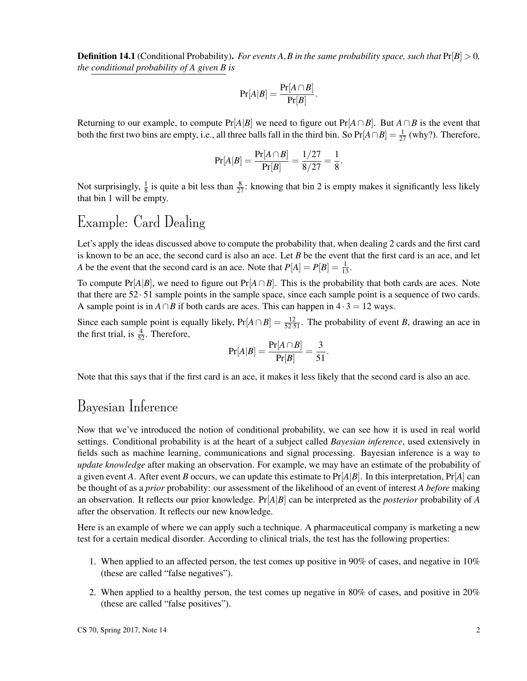**Definition 14.1** (Conditional Probability). *For events A, B in the same probability space, such that*  $Pr[B] > 0$ , *the conditional probability of A given B is*

$$
Pr[A|B] = \frac{Pr[A \cap B]}{Pr[B]}.
$$

Returning to our example, to compute Pr[*A*|*B*] we need to figure out Pr[*A*∩*B*]. But *A*∩*B* is the event that both the first two bins are empty, i.e., all three balls fall in the third bin. So  $Pr[A \cap B] = \frac{1}{27}$  (why?). Therefore,

$$
Pr[A|B] = \frac{Pr[A \cap B]}{Pr[B]} = \frac{1/27}{8/27} = \frac{1}{8}.
$$

Not surprisingly,  $\frac{1}{8}$  is quite a bit less than  $\frac{8}{27}$ : knowing that bin 2 is empty makes it significantly less likely that bin 1 will be empty.

# Example: Card Dealing

Let's apply the ideas discussed above to compute the probability that, when dealing 2 cards and the first card is known to be an ace, the second card is also an ace. Let *B* be the event that the first card is an ace, and let *A* be the event that the second card is an ace. Note that  $P[A] = P[B] = \frac{1}{13}$ .

To compute Pr[ $A|B$ ], we need to figure out Pr[ $A \cap B$ ]. This is the probability that both cards are aces. Note that there are 52 · 51 sample points in the sample space, since each sample point is a sequence of two cards. A sample point is in *A* ∩*B* if both cards are aces. This can happen in  $4 \cdot 3 = 12$  ways.

Since each sample point is equally likely,  $Pr[A \cap B] = \frac{12}{52 \cdot 51}$ . The probability of event *B*, drawing an ace in the first trial, is  $\frac{4}{52}$ . Therefore,

$$
\Pr[A|B] = \frac{\Pr[A \cap B]}{\Pr[B]} = \frac{3}{51}.
$$

Note that this says that if the first card is an ace, it makes it less likely that the second card is also an ace.

## Bayesian Inference

Now that we've introduced the notion of conditional probability, we can see how it is used in real world settings. Conditional probability is at the heart of a subject called *Bayesian inference*, used extensively in fields such as machine learning, communications and signal processing. Bayesian inference is a way to *update knowledge* after making an observation. For example, we may have an estimate of the probability of a given event *A*. After event *B* occurs, we can update this estimate to  $Pr[A|B]$ . In this interpretation,  $Pr[A]$  can be thought of as a *prior* probability: our assessment of the likelihood of an event of interest *A before* making an observation. It reflects our prior knowledge. Pr[*A*|*B*] can be interpreted as the *posterior* probability of *A* after the observation. It reflects our new knowledge.

Here is an example of where we can apply such a technique. A pharmaceutical company is marketing a new test for a certain medical disorder. According to clinical trials, the test has the following properties:

- 1. When applied to an affected person, the test comes up positive in 90% of cases, and negative in 10% (these are called "false negatives").
- 2. When applied to a healthy person, the test comes up negative in 80% of cases, and positive in 20% (these are called "false positives").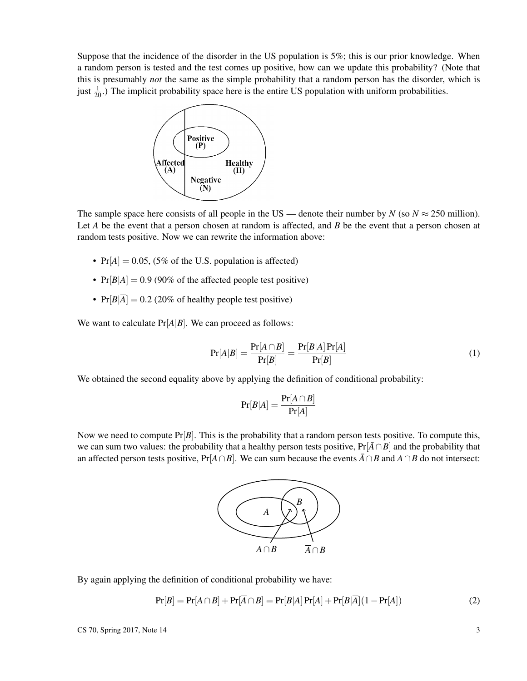Suppose that the incidence of the disorder in the US population is 5%; this is our prior knowledge. When a random person is tested and the test comes up positive, how can we update this probability? (Note that this is presumably *not* the same as the simple probability that a random person has the disorder, which is just  $\frac{1}{20}$ .) The implicit probability space here is the entire US population with uniform probabilities.



The sample space here consists of all people in the US — denote their number by *N* (so  $N \approx 250$  million). Let *A* be the event that a person chosen at random is affected, and *B* be the event that a person chosen at random tests positive. Now we can rewrite the information above:

- $Pr[A] = 0.05$ , (5% of the U.S. population is affected)
- $Pr[B|A] = 0.9$  (90% of the affected people test positive)
- $Pr[B|\overline{A}] = 0.2$  (20% of healthy people test positive)

We want to calculate  $Pr[A|B]$ . We can proceed as follows:

$$
\Pr[A|B] = \frac{\Pr[A \cap B]}{\Pr[B]} = \frac{\Pr[B|A]\Pr[A]}{\Pr[B]} \tag{1}
$$

We obtained the second equality above by applying the definition of conditional probability:

$$
\Pr[B|A] = \frac{\Pr[A \cap B]}{\Pr[A]}
$$

Now we need to compute Pr[*B*]. This is the probability that a random person tests positive. To compute this, we can sum two values: the probability that a healthy person tests positive,  $Pr[\bar{A} \cap B]$  and the probability that an affected person tests positive,  $Pr[A \cap B]$ . We can sum because the events  $\overline{A} \cap B$  and  $A \cap B$  do not intersect:



By again applying the definition of conditional probability we have:

$$
Pr[B] = Pr[A \cap B] + Pr[\overline{A} \cap B] = Pr[B|A]Pr[A] + Pr[B|\overline{A}](1 - Pr[A])
$$
\n(2)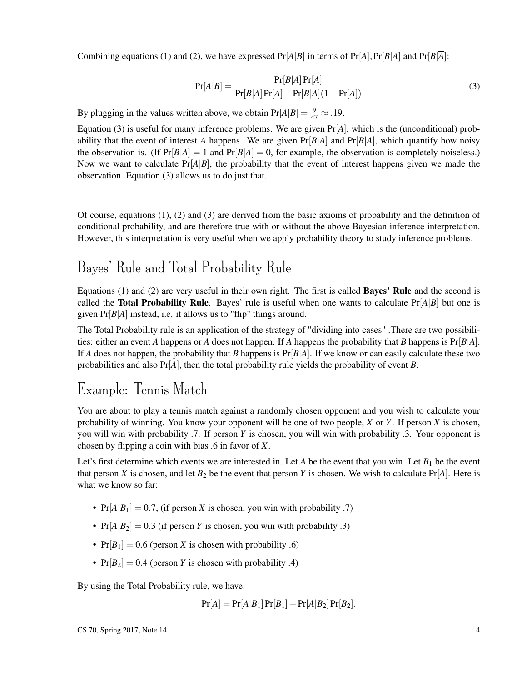Combining equations (1) and (2), we have expressed  $Pr[A|B]$  in terms of  $Pr[A], Pr[B|A]$  and  $Pr[B|\overline{A}]$ :

$$
Pr[A|B] = \frac{Pr[B|A]Pr[A]}{Pr[B|A]Pr[A] + Pr[B|\overline{A}](1 - Pr[A])}
$$
\n(3)

By plugging in the values written above, we obtain  $Pr[A|B] = \frac{9}{47} \approx .19$ .

Equation (3) is useful for many inference problems. We are given Pr[*A*], which is the (unconditional) probability that the event of interest *A* happens. We are given  $Pr[B|A]$  and  $Pr[B|\overline{A}]$ , which quantify how noisy the observation is. (If  $Pr[B|A] = 1$  and  $Pr[B|\overline{A}] = 0$ , for example, the observation is completely noiseless.) Now we want to calculate  $Pr[A|B]$ , the probability that the event of interest happens given we made the observation. Equation (3) allows us to do just that.

Of course, equations (1), (2) and (3) are derived from the basic axioms of probability and the definition of conditional probability, and are therefore true with or without the above Bayesian inference interpretation. However, this interpretation is very useful when we apply probability theory to study inference problems.

# Bayes' Rule and Total Probability Rule

Equations (1) and (2) are very useful in their own right. The first is called Bayes' Rule and the second is called the **Total Probability Rule**. Bayes' rule is useful when one wants to calculate  $Pr[A|B]$  but one is given Pr[*B*|*A*] instead, i.e. it allows us to "flip" things around.

The Total Probability rule is an application of the strategy of "dividing into cases" .There are two possibilities: either an event *A* happens or *A* does not happen. If *A* happens the probability that *B* happens is Pr[*B*|*A*]. If *A* does not happen, the probability that *B* happens is  $Pr[B|A]$ . If we know or can easily calculate these two probabilities and also  $Pr[A]$ , then the total probability rule yields the probability of event *B*.

# Example: Tennis Match

You are about to play a tennis match against a randomly chosen opponent and you wish to calculate your probability of winning. You know your opponent will be one of two people, *X* or *Y*. If person *X* is chosen, you will win with probability .7. If person *Y* is chosen, you will win with probability .3. Your opponent is chosen by flipping a coin with bias .6 in favor of *X*.

Let's first determine which events we are interested in. Let *A* be the event that you win. Let  $B_1$  be the event that person *X* is chosen, and let  $B_2$  be the event that person *Y* is chosen. We wish to calculate  $Pr[A]$ . Here is what we know so far:

- $Pr[A|B_1] = 0.7$ , (if person *X* is chosen, you win with probability .7)
- $Pr[A|B_2] = 0.3$  (if person *Y* is chosen, you win with probability .3)
- $Pr[B_1] = 0.6$  (person *X* is chosen with probability .6)
- $Pr[B_2] = 0.4$  (person *Y* is chosen with probability .4)

By using the Total Probability rule, we have:

$$
Pr[A] = Pr[A|B_1] Pr[B_1] + Pr[A|B_2] Pr[B_2].
$$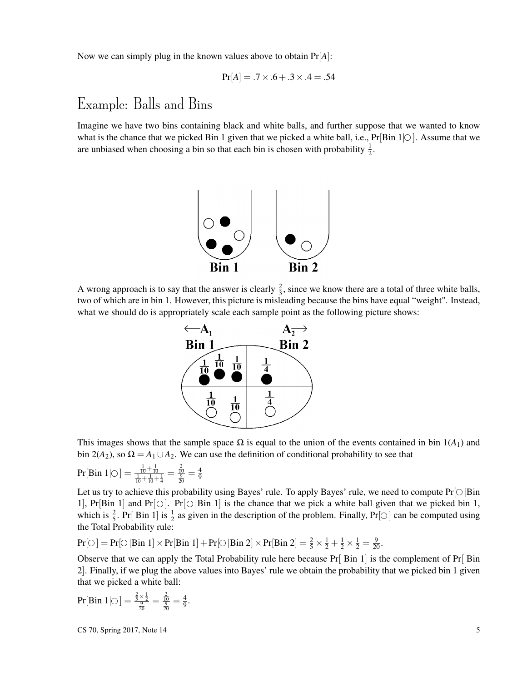Now we can simply plug in the known values above to obtain Pr[*A*]:

$$
Pr[A] = .7 \times .6 + .3 \times .4 = .54
$$

# Example: Balls and Bins

Imagine we have two bins containing black and white balls, and further suppose that we wanted to know what is the chance that we picked Bin 1 given that we picked a white ball, i.e.,  $Pr[B\infty]$ . Assume that we are unbiased when choosing a bin so that each bin is chosen with probability  $\frac{1}{2}$ .



A wrong approach is to say that the answer is clearly  $\frac{2}{3}$ , since we know there are a total of three white balls, two of which are in bin 1. However, this picture is misleading because the bins have equal "weight". Instead, what we should do is appropriately scale each sample point as the following picture shows:



This images shows that the sample space  $\Omega$  is equal to the union of the events contained in bin  $1(A_1)$  and bin 2(*A*<sub>2</sub>), so  $\Omega = A_1 \cup A_2$ . We can use the definition of conditional probability to see that

$$
Pr[Bin\ 1 | \bigcirc] = \tfrac{\tfrac{1}{10} + \tfrac{1}{10}}{\tfrac{1}{10} + \tfrac{1}{10} + \tfrac{1}{4}} = \tfrac{\tfrac{2}{10}}{\tfrac{9}{20}} = \tfrac{4}{9}
$$

Let us try to achieve this probability using Bayes' rule. To apply Bayes' rule, we need to compute  $Pr[\bigcirc |Bin$ 1], Pr[Bin 1] and Pr[ $\bigcirc$ ]. Pr[ $\bigcirc$ |Bin 1] is the chance that we pick a white ball given that we picked bin 1, which is  $\frac{2}{5}$ . Pr[Bin 1] is  $\frac{1}{2}$  as given in the description of the problem. Finally, Pr[ $\circ$ ] can be computed using the Total Probability rule:

$$
Pr[\bigcirc] = Pr[\bigcirc | Bin 1] \times Pr[Bin 1] + Pr[\bigcirc | Bin 2] \times Pr[Bin 2] = \frac{2}{5} \times \frac{1}{2} + \frac{1}{2} \times \frac{1}{2} = \frac{9}{20}.
$$

Observe that we can apply the Total Probability rule here because  $Pr[\text{Bin 1}]$  is the complement of  $Pr[\text{Bin 1}]$ 2]. Finally, if we plug the above values into Bayes' rule we obtain the probability that we picked bin 1 given that we picked a white ball:

$$
\Pr[\text{Bin 1} \mid \bigcirc] = \frac{\frac{2}{5} \times \frac{1}{2}}{\frac{9}{20}} = \frac{\frac{2}{10}}{\frac{9}{20}} = \frac{4}{9}.
$$

 $\text{CS } 70$ , Spring 2017, Note 14  $\overline{5}$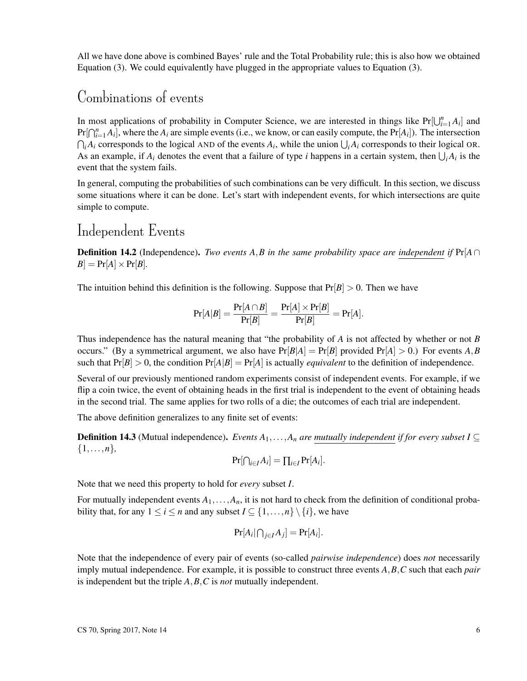All we have done above is combined Bayes' rule and the Total Probability rule; this is also how we obtained Equation (3). We could equivalently have plugged in the appropriate values to Equation (3).

### Combinations of events

In most applications of probability in Computer Science, we are interested in things like  $Pr[\bigcup_{i=1}^{n} A_i]$  and  $Pr[\bigcap_{i=1}^{n} A_i]$ , where the  $A_i$  are simple events (i.e., we know, or can easily compute, the  $Pr[A_i]$ ). The intersection  $\bigcap_i A_i$  corresponds to the logical AND of the events  $A_i$ , while the union  $\bigcup_i A_i$  corresponds to their logical OR. As an example, if  $A_i$  denotes the event that a failure of type *i* happens in a certain system, then  $\bigcup_i A_i$  is the event that the system fails.

In general, computing the probabilities of such combinations can be very difficult. In this section, we discuss some situations where it can be done. Let's start with independent events, for which intersections are quite simple to compute.

### Independent Events

**Definition 14.2** (Independence). *Two events A,B in the same probability space are independent if*  $Pr[A \cap$  $B$  = Pr[*A*]  $\times$  Pr[*B*]*.* 

The intuition behind this definition is the following. Suppose that  $Pr[B] > 0$ . Then we have

$$
\Pr[A|B] = \frac{\Pr[A \cap B]}{\Pr[B]} = \frac{\Pr[A] \times \Pr[B]}{\Pr[B]} = \Pr[A].
$$

Thus independence has the natural meaning that "the probability of *A* is not affected by whether or not *B* occurs." (By a symmetrical argument, we also have  $Pr[B|A] = Pr[B]$  provided  $Pr[A] > 0$ .) For events *A*, *B* such that  $Pr[B] > 0$ , the condition  $Pr[A|B] = Pr[A]$  is actually *equivalent* to the definition of independence.

Several of our previously mentioned random experiments consist of independent events. For example, if we flip a coin twice, the event of obtaining heads in the first trial is independent to the event of obtaining heads in the second trial. The same applies for two rolls of a die; the outcomes of each trial are independent.

The above definition generalizes to any finite set of events:

**Definition 14.3** (Mutual independence). *Events*  $A_1, \ldots, A_n$  *are mutually independent if for every subset*  $I ⊂$ {1,...,*n*}*,*

$$
\Pr[\bigcap_{i\in I}A_i]=\prod_{i\in I}\Pr[A_i].
$$

Note that we need this property to hold for *every* subset *I*.

For mutually independent events  $A_1, \ldots, A_n$ , it is not hard to check from the definition of conditional probability that, for any  $1 \le i \le n$  and any subset  $I \subseteq \{1, ..., n\} \setminus \{i\}$ , we have

$$
\Pr[A_i | \bigcap_{j \in I} A_j] = \Pr[A_i].
$$

Note that the independence of every pair of events (so-called *pairwise independence*) does *not* necessarily imply mutual independence. For example, it is possible to construct three events *A*,*B*,*C* such that each *pair* is independent but the triple *A*,*B*,*C* is *not* mutually independent.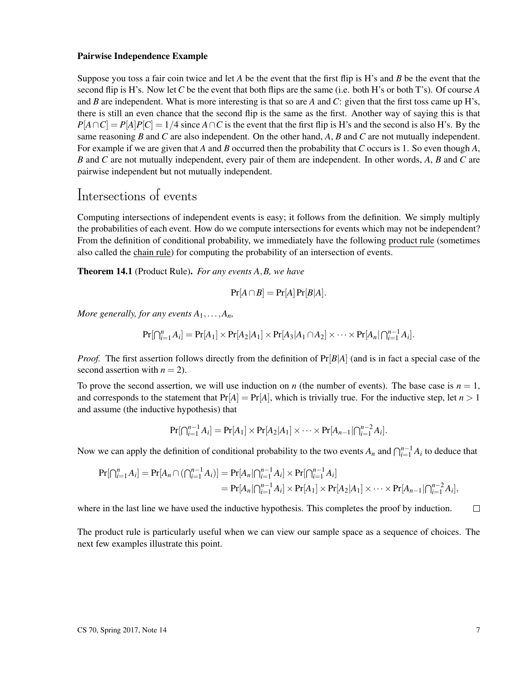#### Pairwise Independence Example

Suppose you toss a fair coin twice and let *A* be the event that the first flip is H's and *B* be the event that the second flip is H's. Now let *C* be the event that both flips are the same (i.e. both H's or both T's). Of course *A* and *B* are independent. What is more interesting is that so are *A* and *C*: given that the first toss came up H's, there is still an even chance that the second flip is the same as the first. Another way of saying this is that  $P[A \cap C] = P[A]P[C] = 1/4$  since  $A \cap C$  is the event that the first flip is H's and the second is also H's. By the same reasoning *B* and *C* are also independent. On the other hand, *A*, *B* and *C* are not mutually independent. For example if we are given that *A* and *B* occurred then the probability that *C* occurs is 1. So even though *A*, *B* and *C* are not mutually independent, every pair of them are independent. In other words, *A*, *B* and *C* are pairwise independent but not mutually independent.

# Intersections of events

Computing intersections of independent events is easy; it follows from the definition. We simply multiply the probabilities of each event. How do we compute intersections for events which may not be independent? From the definition of conditional probability, we immediately have the following product rule (sometimes also called the chain rule) for computing the probability of an intersection of events.

Theorem 14.1 (Product Rule). *For any events A*,*B, we have*

$$
Pr[A \cap B] = Pr[A] Pr[B|A].
$$

*More generally, for any events*  $A_1, \ldots, A_n$ *,* 

$$
\Pr[\bigcap_{i=1}^n A_i] = \Pr[A_1] \times \Pr[A_2|A_1] \times \Pr[A_3|A_1 \cap A_2] \times \cdots \times \Pr[A_n|\bigcap_{i=1}^{n-1} A_i].
$$

*Proof.* The first assertion follows directly from the definition of Pr[*B*|*A*] (and is in fact a special case of the second assertion with  $n = 2$ ).

To prove the second assertion, we will use induction on *n* (the number of events). The base case is  $n = 1$ , and corresponds to the statement that  $Pr[A] = Pr[A]$ , which is trivially true. For the inductive step, let  $n > 1$ and assume (the inductive hypothesis) that

$$
Pr[\bigcap_{i=1}^{n-1} A_i] = Pr[A_1] \times Pr[A_2|A_1] \times \cdots \times Pr[A_{n-1}| \bigcap_{i=1}^{n-2} A_i].
$$

Now we can apply the definition of conditional probability to the two events  $A_n$  and  $\bigcap_{i=1}^{n-1} A_i$  to deduce that

$$
Pr[\bigcap_{i=1}^{n} A_i] = Pr[A_n \cap (\bigcap_{i=1}^{n-1} A_i)] = Pr[A_n | \bigcap_{i=1}^{n-1} A_i] \times Pr[\bigcap_{i=1}^{n-1} A_i]
$$
  
=  $Pr[A_n | \bigcap_{i=1}^{n-1} A_i] \times Pr[A_1] \times Pr[A_2 | A_1] \times \cdots \times Pr[A_{n-1} | \bigcap_{i=1}^{n-2} A_i],$ 

where in the last line we have used the inductive hypothesis. This completes the proof by induction.  $\Box$ 

The product rule is particularly useful when we can view our sample space as a sequence of choices. The next few examples illustrate this point.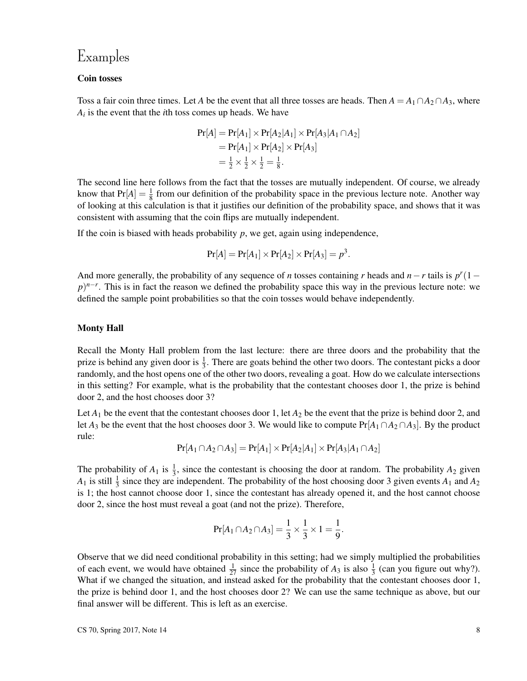### Examples

#### Coin tosses

Toss a fair coin three times. Let *A* be the event that all three tosses are heads. Then  $A = A_1 \cap A_2 \cap A_3$ , where *Ai* is the event that the *i*th toss comes up heads. We have

$$
Pr[A] = Pr[A1] \times Pr[A2|A1] \times Pr[A3|A1 \cap A2]
$$
  
= 
$$
Pr[A1] \times Pr[A2] \times Pr[A3]
$$
  
= 
$$
\frac{1}{2} \times \frac{1}{2} \times \frac{1}{2} = \frac{1}{8}.
$$

The second line here follows from the fact that the tosses are mutually independent. Of course, we already know that  $Pr[A] = \frac{1}{8}$  from our definition of the probability space in the previous lecture note. Another way of looking at this calculation is that it justifies our definition of the probability space, and shows that it was consistent with assuming that the coin flips are mutually independent.

If the coin is biased with heads probability *p*, we get, again using independence,

$$
Pr[A] = Pr[A_1] \times Pr[A_2] \times Pr[A_3] = p^3.
$$

And more generally, the probability of any sequence of *n* tosses containing *r* heads and  $n - r$  tails is  $p^r(1 - r)$  $p$ )<sup>*n*−*r*</sup>. This is in fact the reason we defined the probability space this way in the previous lecture note: we defined the sample point probabilities so that the coin tosses would behave independently.

#### Monty Hall

Recall the Monty Hall problem from the last lecture: there are three doors and the probability that the prize is behind any given door is  $\frac{1}{3}$ . There are goats behind the other two doors. The contestant picks a door randomly, and the host opens one of the other two doors, revealing a goat. How do we calculate intersections in this setting? For example, what is the probability that the contestant chooses door 1, the prize is behind door 2, and the host chooses door 3?

Let  $A_1$  be the event that the contestant chooses door 1, let  $A_2$  be the event that the prize is behind door 2, and let *A*<sub>3</sub> be the event that the host chooses door 3. We would like to compute  $Pr[A_1 \cap A_2 \cap A_3]$ . By the product rule:

$$
Pr[A_1 \cap A_2 \cap A_3] = Pr[A_1] \times Pr[A_2|A_1] \times Pr[A_3|A_1 \cap A_2]
$$

The probability of  $A_1$  is  $\frac{1}{3}$ , since the contestant is choosing the door at random. The probability  $A_2$  given  $A_1$  is still  $\frac{1}{3}$  since they are independent. The probability of the host choosing door 3 given events  $A_1$  and  $A_2$ is 1; the host cannot choose door 1, since the contestant has already opened it, and the host cannot choose door 2, since the host must reveal a goat (and not the prize). Therefore,

$$
Pr[A_1 \cap A_2 \cap A_3] = \frac{1}{3} \times \frac{1}{3} \times 1 = \frac{1}{9}.
$$

Observe that we did need conditional probability in this setting; had we simply multiplied the probabilities of each event, we would have obtained  $\frac{1}{27}$  since the probability of  $A_3$  is also  $\frac{1}{3}$  (can you figure out why?). What if we changed the situation, and instead asked for the probability that the contestant chooses door 1, the prize is behind door 1, and the host chooses door 2? We can use the same technique as above, but our final answer will be different. This is left as an exercise.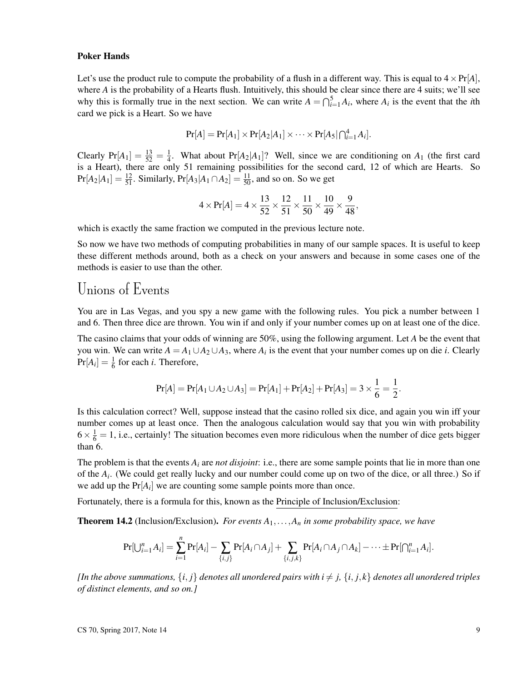#### Poker Hands

Let's use the product rule to compute the probability of a flush in a different way. This is equal to  $4 \times Pr[A]$ , where *A* is the probability of a Hearts flush. Intuitively, this should be clear since there are 4 suits; we'll see why this is formally true in the next section. We can write  $A = \bigcap_{i=1}^{5} A_i$ , where  $A_i$  is the event that the *i*th card we pick is a Heart. So we have

$$
Pr[A] = Pr[A_1] \times Pr[A_2|A_1] \times \cdots \times Pr[A_5| \bigcap_{i=1}^4 A_i].
$$

Clearly  $Pr[A_1] = \frac{13}{52} = \frac{1}{4}$  $\frac{1}{4}$ . What about Pr[ $A_2$ | $A_1$ ]? Well, since we are conditioning on  $A_1$  (the first card is a Heart), there are only 51 remaining possibilities for the second card, 12 of which are Hearts. So  $Pr[A_2|A_1] = \frac{12}{51}$ . Similarly,  $Pr[A_3|A_1 \cap A_2] = \frac{11}{50}$ , and so on. So we get

$$
4 \times \Pr[A] = 4 \times \frac{13}{52} \times \frac{12}{51} \times \frac{11}{50} \times \frac{10}{49} \times \frac{9}{48},
$$

which is exactly the same fraction we computed in the previous lecture note.

So now we have two methods of computing probabilities in many of our sample spaces. It is useful to keep these different methods around, both as a check on your answers and because in some cases one of the methods is easier to use than the other.

### Unions of Events

You are in Las Vegas, and you spy a new game with the following rules. You pick a number between 1 and 6. Then three dice are thrown. You win if and only if your number comes up on at least one of the dice.

The casino claims that your odds of winning are 50%, using the following argument. Let *A* be the event that you win. We can write  $A = A_1 \cup A_2 \cup A_3$ , where  $A_i$  is the event that your number comes up on die *i*. Clearly  $Pr[A_i] = \frac{1}{6}$  for each *i*. Therefore,

$$
Pr[A] = Pr[A_1 \cup A_2 \cup A_3] = Pr[A_1] + Pr[A_2] + Pr[A_3] = 3 \times \frac{1}{6} = \frac{1}{2}.
$$

Is this calculation correct? Well, suppose instead that the casino rolled six dice, and again you win iff your number comes up at least once. Then the analogous calculation would say that you win with probability  $6 \times \frac{1}{6} = 1$ , i.e., certainly! The situation becomes even more ridiculous when the number of dice gets bigger than 6.

The problem is that the events  $A_i$  are *not disjoint*: i.e., there are some sample points that lie in more than one of the *A<sup>i</sup>* . (We could get really lucky and our number could come up on two of the dice, or all three.) So if we add up the  $Pr[A_i]$  we are counting some sample points more than once.

Fortunately, there is a formula for this, known as the Principle of Inclusion/Exclusion:

**Theorem 14.2** (Inclusion/Exclusion). *For events*  $A_1, \ldots, A_n$  *in some probability space, we have* 

$$
Pr[\bigcup_{i=1}^{n} A_i] = \sum_{i=1}^{n} Pr[A_i] - \sum_{\{i,j\}} Pr[A_i \cap A_j] + \sum_{\{i,j,k\}} Pr[A_i \cap A_j \cap A_k] - \cdots \pm Pr[\bigcap_{i=1}^{n} A_i].
$$

*[In the above summations,*  $\{i, j\}$  *denotes all unordered pairs with*  $i \neq j$ ,  $\{i, j, k\}$  *denotes all unordered triples of distinct elements, and so on.]*